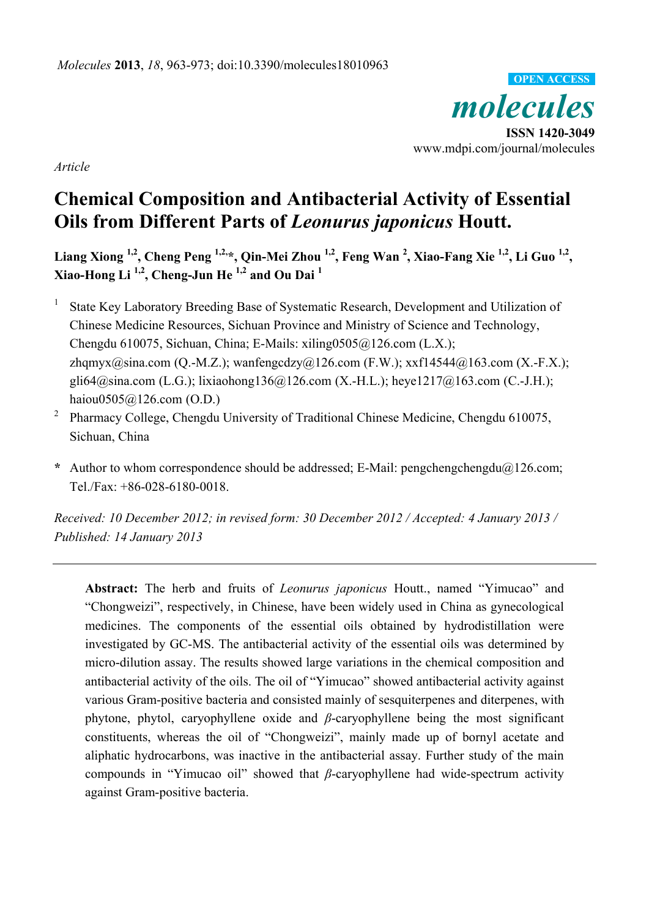*molecules*  **ISSN 1420-3049**  www.mdpi.com/journal/molecules **OPEN ACCESS**

*Article* 

# **Chemical Composition and Antibacterial Activity of Essential Oils from Different Parts of** *Leonurus japonicus* **Houtt.**

**Liang Xiong 1,2, Cheng Peng 1,2,\*, Qin-Mei Zhou 1,2, Feng Wan 2 , Xiao-Fang Xie 1,2, Li Guo 1,2, Xiao-Hong Li 1,2, Cheng-Jun He 1,2 and Ou Dai 1**

1 State Key Laboratory Breeding Base of Systematic Research, Development and Utilization of Chinese Medicine Resources, Sichuan Province and Ministry of Science and Technology, Chengdu 610075, Sichuan, China; E-Mails: xiling0505@126.com (L.X.); zhqmyx@sina.com (Q.-M.Z.); wanfengcdzy@126.com (F.W.); xxf14544@163.com (X.-F.X.); gli64@sina.com (L.G.); lixiaohong136@126.com (X.-H.L.); heye1217@163.com (C.-J.H.); haiou0505@126.com (O.D.)

2 Pharmacy College, Chengdu University of Traditional Chinese Medicine, Chengdu 610075, Sichuan, China

**\*** Author to whom correspondence should be addressed; E-Mail: pengchengchengdu@126.com; Tel./Fax: +86-028-6180-0018.

*Received: 10 December 2012; in revised form: 30 December 2012 / Accepted: 4 January 2013 / Published: 14 January 2013* 

**Abstract:** The herb and fruits of *Leonurus japonicus* Houtt., named "Yimucao" and "Chongweizi", respectively, in Chinese, have been widely used in China as gynecological medicines. The components of the essential oils obtained by hydrodistillation were investigated by GC-MS. The antibacterial activity of the essential oils was determined by micro-dilution assay. The results showed large variations in the chemical composition and antibacterial activity of the oils. The oil of "Yimucao" showed antibacterial activity against various Gram-positive bacteria and consisted mainly of sesquiterpenes and diterpenes, with phytone, phytol, caryophyllene oxide and *β*-caryophyllene being the most significant constituents, whereas the oil of "Chongweizi", mainly made up of bornyl acetate and aliphatic hydrocarbons, was inactive in the antibacterial assay. Further study of the main compounds in "Yimucao oil" showed that *β*-caryophyllene had wide-spectrum activity against Gram-positive bacteria.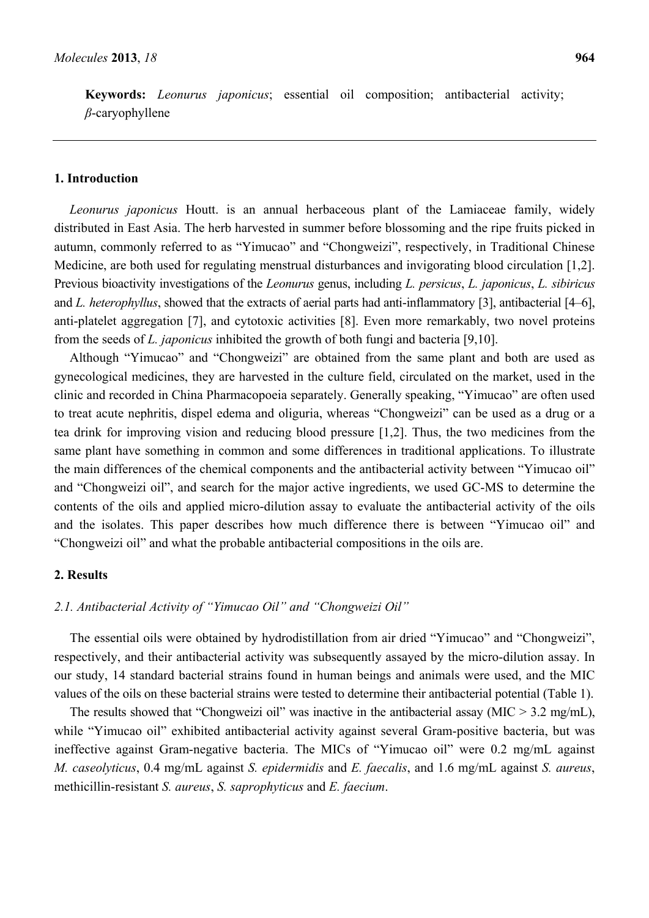**Keywords:** *Leonurus japonicus*; essential oil composition; antibacterial activity; *β*-caryophyllene

#### **1. Introduction**

*Leonurus japonicus* Houtt. is an annual herbaceous plant of the Lamiaceae family, widely distributed in East Asia. The herb harvested in summer before blossoming and the ripe fruits picked in autumn, commonly referred to as "Yimucao" and "Chongweizi", respectively, in Traditional Chinese Medicine, are both used for regulating menstrual disturbances and invigorating blood circulation [1,2]. Previous bioactivity investigations of the *Leonurus* genus, including *L. persicus*, *L. japonicus*, *L. sibiricus* and *L. heterophyllus*, showed that the extracts of aerial parts had anti-inflammatory [3], antibacterial [4–6], anti-platelet aggregation [7], and cytotoxic activities [8]. Even more remarkably, two novel proteins from the seeds of *L. japonicus* inhibited the growth of both fungi and bacteria [9,10].

Although "Yimucao" and "Chongweizi" are obtained from the same plant and both are used as gynecological medicines, they are harvested in the culture field, circulated on the market, used in the clinic and recorded in China Pharmacopoeia separately. Generally speaking, "Yimucao" are often used to treat acute nephritis, dispel edema and oliguria, whereas "Chongweizi" can be used as a drug or a tea drink for improving vision and reducing blood pressure [1,2]. Thus, the two medicines from the same plant have something in common and some differences in traditional applications. To illustrate the main differences of the chemical components and the antibacterial activity between "Yimucao oil" and "Chongweizi oil", and search for the major active ingredients, we used GC-MS to determine the contents of the oils and applied micro-dilution assay to evaluate the antibacterial activity of the oils and the isolates. This paper describes how much difference there is between "Yimucao oil" and "Chongweizi oil" and what the probable antibacterial compositions in the oils are.

#### **2. Results**

# *2.1. Antibacterial Activity of "Yimucao Oil" and "Chongweizi Oil"*

The essential oils were obtained by hydrodistillation from air dried "Yimucao" and "Chongweizi", respectively, and their antibacterial activity was subsequently assayed by the micro-dilution assay. In our study, 14 standard bacterial strains found in human beings and animals were used, and the MIC values of the oils on these bacterial strains were tested to determine their antibacterial potential (Table 1).

The results showed that "Chongweizi oil" was inactive in the antibacterial assay (MIC  $> 3.2$  mg/mL), while "Yimucao oil" exhibited antibacterial activity against several Gram-positive bacteria, but was ineffective against Gram-negative bacteria. The MICs of "Yimucao oil" were 0.2 mg/mL against *M. caseolyticus*, 0.4 mg/mL against *S. epidermidis* and *E. faecalis*, and 1.6 mg/mL against *S. aureus*, methicillin-resistant *S. aureus*, *S. saprophyticus* and *E. faecium*.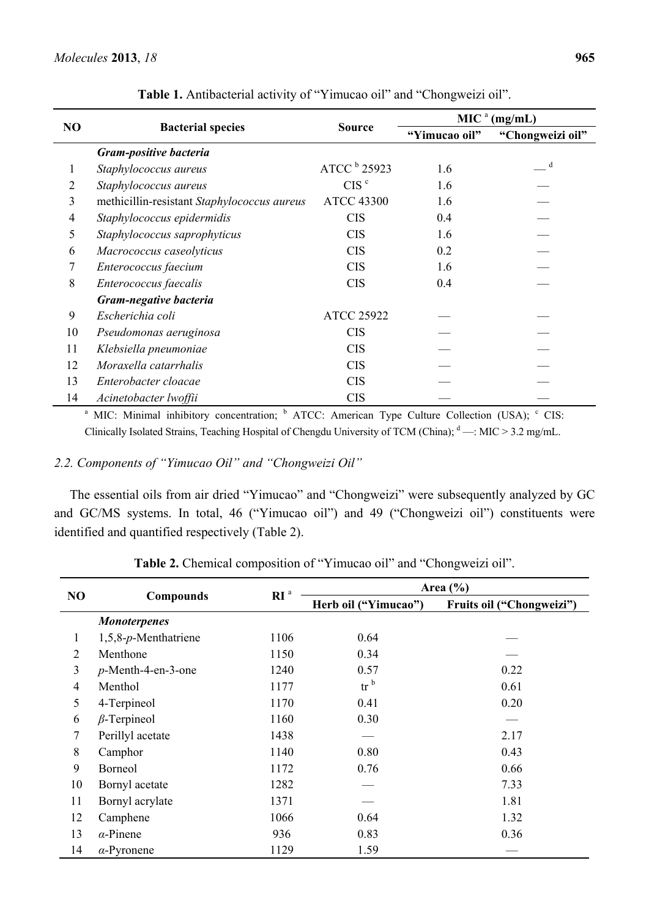|                |                                             |                   | MIC <sup>a</sup><br>(mg/mL) |                  |  |
|----------------|---------------------------------------------|-------------------|-----------------------------|------------------|--|
| N <sub>O</sub> | <b>Bacterial species</b>                    | <b>Source</b>     | "Yimucao oil"               | "Chongweizi oil" |  |
|                | Gram-positive bacteria                      |                   |                             |                  |  |
| 1              | Staphylococcus aureus                       | ATCC $b$ 25923    | 1.6                         | $\mathbf d$      |  |
| 2              | Staphylococcus aureus                       | CIS <sup>c</sup>  | 1.6                         |                  |  |
| 3              | methicillin-resistant Staphylococcus aureus | <b>ATCC 43300</b> | 1.6                         |                  |  |
| 4              | Staphylococcus epidermidis                  | <b>CIS</b>        | 0.4                         |                  |  |
| 5              | Staphylococcus saprophyticus                | <b>CIS</b>        | 1.6                         |                  |  |
| 6              | Macrococcus caseolyticus                    | <b>CIS</b>        | 0.2                         |                  |  |
| 7              | Enterococcus faecium                        | <b>CIS</b>        | 1.6                         |                  |  |
| 8              | Enterococcus faecalis                       | <b>CIS</b>        | 0.4                         |                  |  |
|                | Gram-negative bacteria                      |                   |                             |                  |  |
| 9              | Escherichia coli                            | <b>ATCC 25922</b> |                             |                  |  |
| 10             | Pseudomonas aeruginosa                      | <b>CIS</b>        |                             |                  |  |
| 11             | Klebsiella pneumoniae                       | <b>CIS</b>        |                             |                  |  |
| 12             | Moraxella catarrhalis                       | <b>CIS</b>        |                             |                  |  |
| 13             | Enterobacter cloacae                        | <b>CIS</b>        |                             |                  |  |
| 14             | Acinetobacter lwoffii                       | <b>CIS</b>        |                             |                  |  |

**Table 1.** Antibacterial activity of "Yimucao oil" and "Chongweizi oil".

<sup>a</sup> MIC: Minimal inhibitory concentration; <sup>b</sup> ATCC: American Type Culture Collection (USA); <sup>c</sup> CIS: Clinically Isolated Strains, Teaching Hospital of Chengdu University of TCM (China);  $\text{d}$  —: MIC > 3.2 mg/mL.

# *2.2. Components of "Yimucao Oil" and "Chongweizi Oil"*

The essential oils from air dried "Yimucao" and "Chongweizi" were subsequently analyzed by GC and GC/MS systems. In total, 46 ("Yimucao oil") and 49 ("Chongweizi oil") constituents were identified and quantified respectively (Table 2).

|                | Compounds             | RI <sup>a</sup> | Area $(\% )$                       |                           |  |  |
|----------------|-----------------------|-----------------|------------------------------------|---------------------------|--|--|
| N <sub>O</sub> |                       |                 | Herb oil ("Yimucao")               | Fruits oil ("Chongweizi") |  |  |
|                | <b>Monoterpenes</b>   |                 |                                    |                           |  |  |
| 1              | 1,5,8-p-Menthatriene  | 1106            | 0.64                               |                           |  |  |
| $\overline{2}$ | Menthone              | 1150            | 0.34                               |                           |  |  |
| 3              | $p$ -Menth-4-en-3-one | 1240            | 0.57                               | 0.22                      |  |  |
| $\overline{4}$ | Menthol               | 1177            | $\operatorname{tr}^{\mathfrak{b}}$ | 0.61                      |  |  |
| 5              | 4-Terpineol           | 1170            | 0.41                               | 0.20                      |  |  |
| 6              | $\beta$ -Terpineol    | 1160            | 0.30                               |                           |  |  |
| 7              | Perillyl acetate      | 1438            |                                    | 2.17                      |  |  |
| 8              | Camphor               | 1140            | 0.80                               | 0.43                      |  |  |
| 9              | Borneol               | 1172            | 0.76                               | 0.66                      |  |  |
| 10             | Bornyl acetate        | 1282            |                                    | 7.33                      |  |  |
| 11             | Bornyl acrylate       | 1371            |                                    | 1.81                      |  |  |
| 12             | Camphene              | 1066            | 0.64                               | 1.32                      |  |  |
| 13             | $\alpha$ -Pinene      | 936             | 0.83                               | 0.36                      |  |  |
| 14             | $\alpha$ -Pyronene    | 1129            | 1.59                               |                           |  |  |

**Table 2.** Chemical composition of "Yimucao oil" and "Chongweizi oil".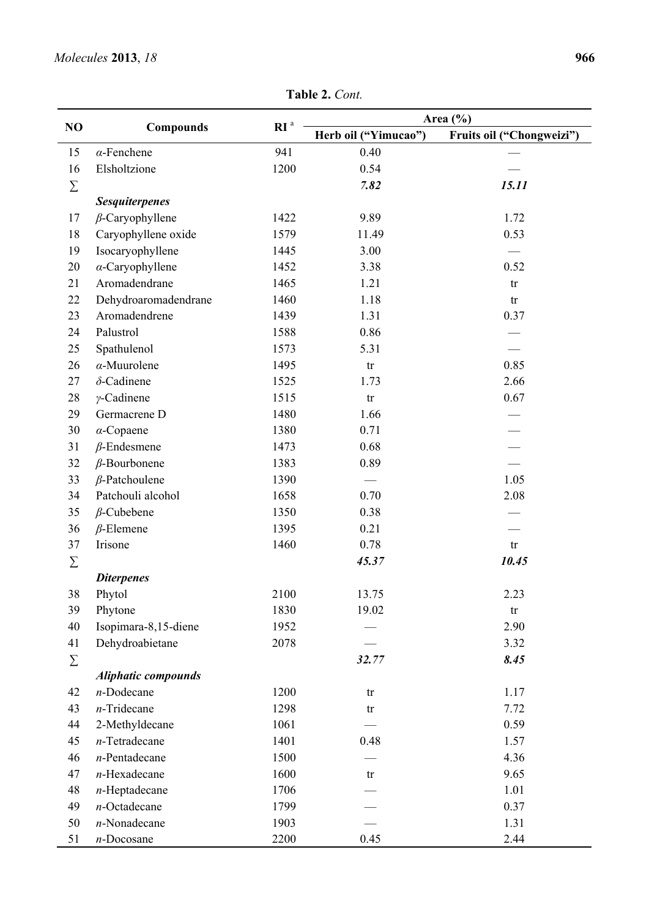| NO       | <b>Compounds</b>           | RI <sup>a</sup> | Area $(\% )$             |                           |  |  |
|----------|----------------------------|-----------------|--------------------------|---------------------------|--|--|
|          |                            |                 | Herb oil ("Yimucao")     | Fruits oil ("Chongweizi") |  |  |
| 15       | $\alpha$ -Fenchene         | 941             | 0.40                     |                           |  |  |
| 16       | Elsholtzione               | 1200            | 0.54                     |                           |  |  |
| $\Sigma$ |                            |                 | 7.82                     | 15.11                     |  |  |
|          | <b>Sesquiterpenes</b>      |                 |                          |                           |  |  |
| 17       | $\beta$ -Caryophyllene     | 1422            | 9.89                     | 1.72                      |  |  |
| 18       | Caryophyllene oxide        | 1579            | 11.49                    | 0.53                      |  |  |
| 19       | Isocaryophyllene           | 1445            | 3.00                     |                           |  |  |
| 20       | $\alpha$ -Caryophyllene    | 1452            | 3.38                     | 0.52                      |  |  |
| 21       | Aromadendrane              | 1465            | 1.21                     | tr                        |  |  |
| 22       | Dehydroaromadendrane       | 1460            | 1.18                     | tr                        |  |  |
| 23       | Aromadendrene              | 1439            | 1.31                     | 0.37                      |  |  |
| 24       | Palustrol                  | 1588            | 0.86                     |                           |  |  |
| 25       | Spathulenol                | 1573            | 5.31                     |                           |  |  |
| 26       | $\alpha$ -Muurolene        | 1495            | tr                       | 0.85                      |  |  |
| 27       | $\delta$ -Cadinene         | 1525            | 1.73                     | 2.66                      |  |  |
| 28       | $\gamma$ -Cadinene         | 1515            | tr                       | 0.67                      |  |  |
| 29       | Germacrene D               | 1480            | 1.66                     |                           |  |  |
| 30       | $\alpha$ -Copaene          | 1380            | 0.71                     |                           |  |  |
| 31       | $\beta$ -Endesmene         | 1473            | 0.68                     |                           |  |  |
| 32       | $\beta$ -Bourbonene        | 1383            | 0.89                     |                           |  |  |
| 33       | $\beta$ -Patchoulene       | 1390            | $\overline{\phantom{m}}$ | 1.05                      |  |  |
| 34       | Patchouli alcohol          | 1658            | 0.70                     | 2.08                      |  |  |
| 35       | $\beta$ -Cubebene          | 1350            | 0.38                     |                           |  |  |
| 36       | $\beta$ -Elemene           | 1395            | 0.21                     |                           |  |  |
| 37       | Irisone                    | 1460            | 0.78                     | ${\rm tr}$                |  |  |
| $\Sigma$ |                            |                 | 45.37                    | 10.45                     |  |  |
|          | <b>Diterpenes</b>          |                 |                          |                           |  |  |
| 38       | Phytol                     | 2100            | 13.75                    | 2.23                      |  |  |
| 39       | Phytone                    | 1830            | 19.02                    | ${\rm tr}$                |  |  |
| 40       | Isopimara-8,15-diene       | 1952            |                          | 2.90                      |  |  |
| 41       | Dehydroabietane            | 2078            |                          | 3.32                      |  |  |
| $\sum$   |                            |                 | 32.77                    | 8.45                      |  |  |
|          | <b>Aliphatic compounds</b> |                 |                          |                           |  |  |
| 42       | $n$ -Dodecane              | 1200            | tr                       | 1.17                      |  |  |
| 43       | $n$ -Tridecane             | 1298            | tr                       | 7.72                      |  |  |
| 44       | 2-Methyldecane             | 1061            |                          | 0.59                      |  |  |
| 45       | $n$ -Tetradecane           | 1401            | 0.48                     | 1.57                      |  |  |
| 46       | $n$ -Pentadecane           | 1500            |                          | 4.36                      |  |  |
| 47       | $n$ -Hexadecane            | 1600            | tr                       | 9.65                      |  |  |
| 48       | $n$ -Heptadecane           | 1706            |                          | 1.01                      |  |  |
| 49       | $n$ -Octadecane            | 1799            |                          | 0.37                      |  |  |
| 50       | $n$ -Nonadecane            | 1903            |                          | 1.31                      |  |  |
| 51       | $n$ -Docosane              | 2200            | 0.45                     | 2.44                      |  |  |

**Table 2.** *Cont.*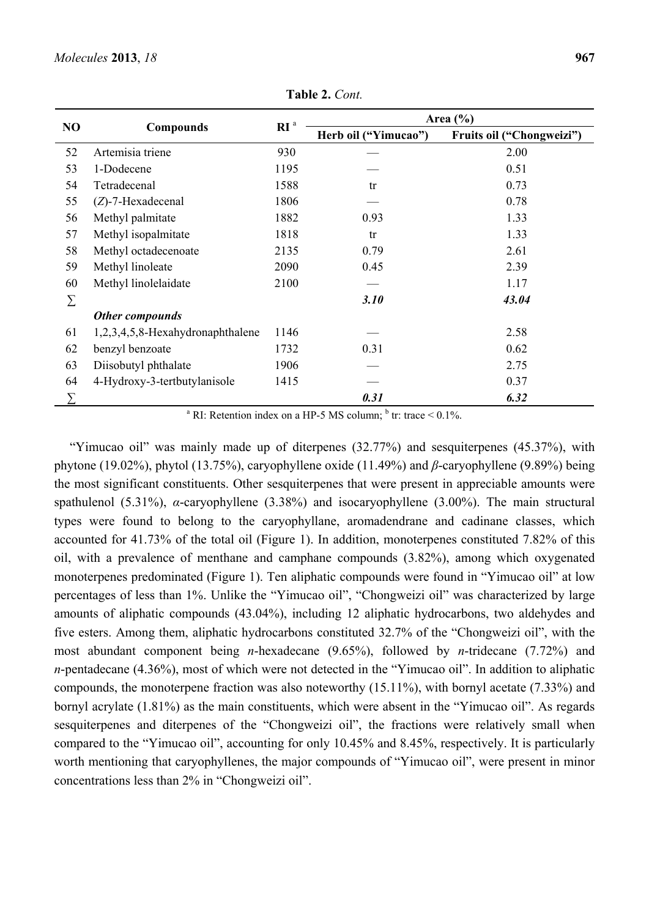| NO | <b>Compounds</b>                 | RI <sup>a</sup> | Area $(\% )$         |                           |  |  |
|----|----------------------------------|-----------------|----------------------|---------------------------|--|--|
|    |                                  |                 | Herb oil ("Yimucao") | Fruits oil ("Chongweizi") |  |  |
| 52 | Artemisia triene                 | 930             |                      | 2.00                      |  |  |
| 53 | 1-Dodecene                       | 1195            |                      | 0.51                      |  |  |
| 54 | Tetradecenal                     | 1588            | tr                   | 0.73                      |  |  |
| 55 | $(Z)$ -7-Hexadecenal             | 1806            |                      | 0.78                      |  |  |
| 56 | Methyl palmitate                 | 1882            | 0.93                 | 1.33                      |  |  |
| 57 | Methyl isopalmitate              | 1818            | tr                   | 1.33                      |  |  |
| 58 | Methyl octadecenoate             | 2135            | 0.79                 | 2.61                      |  |  |
| 59 | Methyl linoleate                 | 2090            | 0.45                 | 2.39                      |  |  |
| 60 | Methyl linolelaidate             | 2100            |                      | 1.17                      |  |  |
| Σ  |                                  |                 | 3.10                 | 43.04                     |  |  |
|    | Other compounds                  |                 |                      |                           |  |  |
| 61 | 1,2,3,4,5,8-Hexahydronaphthalene | 1146            |                      | 2.58                      |  |  |
| 62 | benzyl benzoate                  | 1732            | 0.31                 | 0.62                      |  |  |
| 63 | Diisobutyl phthalate             | 1906            |                      | 2.75                      |  |  |
| 64 | 4-Hydroxy-3-tertbutylanisole     | 1415            |                      | 0.37                      |  |  |
| Σ  |                                  |                 | 0.31                 | 6.32                      |  |  |

**Table 2.** *Cont.*

<sup>a</sup> RI: Retention index on a HP-5 MS column; <sup>b</sup> tr: trace <  $0.1\%$ .

"Yimucao oil" was mainly made up of diterpenes (32.77%) and sesquiterpenes (45.37%), with phytone (19.02%), phytol (13.75%), caryophyllene oxide (11.49%) and *β*-caryophyllene (9.89%) being the most significant constituents. Other sesquiterpenes that were present in appreciable amounts were spathulenol (5.31%), *α*-caryophyllene (3.38%) and isocaryophyllene (3.00%). The main structural types were found to belong to the caryophyllane, aromadendrane and cadinane classes, which accounted for 41.73% of the total oil (Figure 1). In addition, monoterpenes constituted 7.82% of this oil, with a prevalence of menthane and camphane compounds (3.82%), among which oxygenated monoterpenes predominated (Figure 1). Ten aliphatic compounds were found in "Yimucao oil" at low percentages of less than 1%. Unlike the "Yimucao oil", "Chongweizi oil" was characterized by large amounts of aliphatic compounds (43.04%), including 12 aliphatic hydrocarbons, two aldehydes and five esters. Among them, aliphatic hydrocarbons constituted 32.7% of the "Chongweizi oil", with the most abundant component being *n*-hexadecane (9.65%), followed by *n*-tridecane (7.72%) and *n*-pentadecane (4.36%), most of which were not detected in the "Yimucao oil". In addition to aliphatic compounds, the monoterpene fraction was also noteworthy (15.11%), with bornyl acetate (7.33%) and bornyl acrylate (1.81%) as the main constituents, which were absent in the "Yimucao oil". As regards sesquiterpenes and diterpenes of the "Chongweizi oil", the fractions were relatively small when compared to the "Yimucao oil", accounting for only 10.45% and 8.45%, respectively. It is particularly worth mentioning that caryophyllenes, the major compounds of "Yimucao oil", were present in minor concentrations less than 2% in "Chongweizi oil".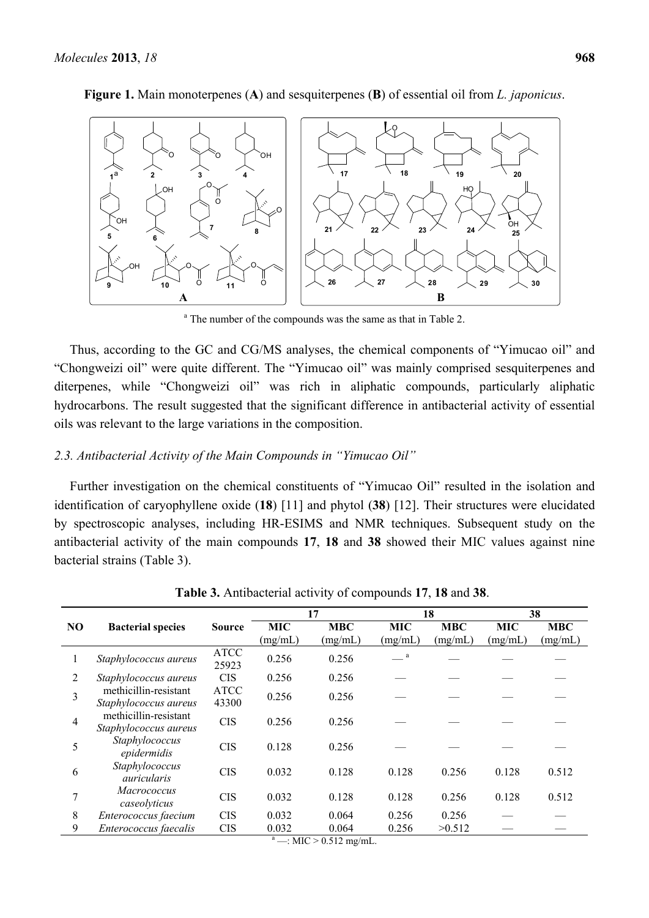

**Figure 1.** Main monoterpenes (**A**) and sesquiterpenes (**B**) of essential oil from *L. japonicus*.

<sup>a</sup> The number of the compounds was the same as that in Table 2.

Thus, according to the GC and CG/MS analyses, the chemical components of "Yimucao oil" and "Chongweizi oil" were quite different. The "Yimucao oil" was mainly comprised sesquiterpenes and diterpenes, while "Chongweizi oil" was rich in aliphatic compounds, particularly aliphatic hydrocarbons. The result suggested that the significant difference in antibacterial activity of essential oils was relevant to the large variations in the composition.

# *2.3. Antibacterial Activity of the Main Compounds in "Yimucao Oil"*

Further investigation on the chemical constituents of "Yimucao Oil" resulted in the isolation and identification of caryophyllene oxide (**18**) [11] and phytol (**38**) [12]. Their structures were elucidated by spectroscopic analyses, including HR-ESIMS and NMR techniques. Subsequent study on the antibacterial activity of the main compounds **17**, **18** and **38** showed their MIC values against nine bacterial strains (Table 3).

|                |                                                |                      | 17                    |                       | 18                    |                       | 38                    |                       |
|----------------|------------------------------------------------|----------------------|-----------------------|-----------------------|-----------------------|-----------------------|-----------------------|-----------------------|
| NO             | <b>Bacterial species</b>                       | <b>Source</b>        | <b>MIC</b><br>(mg/mL) | <b>MBC</b><br>(mg/mL) | <b>MIC</b><br>(mg/mL) | <b>MBC</b><br>(mg/mL) | <b>MIC</b><br>(mg/mL) | <b>MBC</b><br>(mg/mL) |
|                | Staphylococcus aureus                          | <b>ATCC</b><br>25923 | 0.256                 | 0.256                 | a                     |                       |                       |                       |
| $\overline{2}$ | Staphylococcus aureus                          | <b>CIS</b>           | 0.256                 | 0.256                 |                       |                       |                       |                       |
| 3              | methicillin-resistant<br>Staphylococcus aureus | <b>ATCC</b><br>43300 | 0.256                 | 0.256                 |                       |                       |                       |                       |
| $\overline{4}$ | methicillin-resistant<br>Staphylococcus aureus | <b>CIS</b>           | 0.256                 | 0.256                 |                       |                       |                       |                       |
| 5              | Staphylococcus<br>epidermidis                  | <b>CIS</b>           | 0.128                 | 0.256                 |                       |                       |                       |                       |
| 6              | Staphylococcus<br>auricularis                  | <b>CIS</b>           | 0.032                 | 0.128                 | 0.128                 | 0.256                 | 0.128                 | 0.512                 |
| 7              | <b>Macrococcus</b><br>caseolyticus             | <b>CIS</b>           | 0.032                 | 0.128                 | 0.128                 | 0.256                 | 0.128                 | 0.512                 |
| 8              | Enterococcus faecium                           | <b>CIS</b>           | 0.032                 | 0.064                 | 0.256                 | 0.256                 |                       |                       |
| 9              | Enterococcus faecalis                          | <b>CIS</b>           | 0.032<br>a            | 0.064                 | 0.256                 | >0.512                |                       |                       |

**Table 3.** Antibacterial activity of compounds **17**, **18** and **38**.

 $-$ : MIC  $> 0.512$  mg/mL.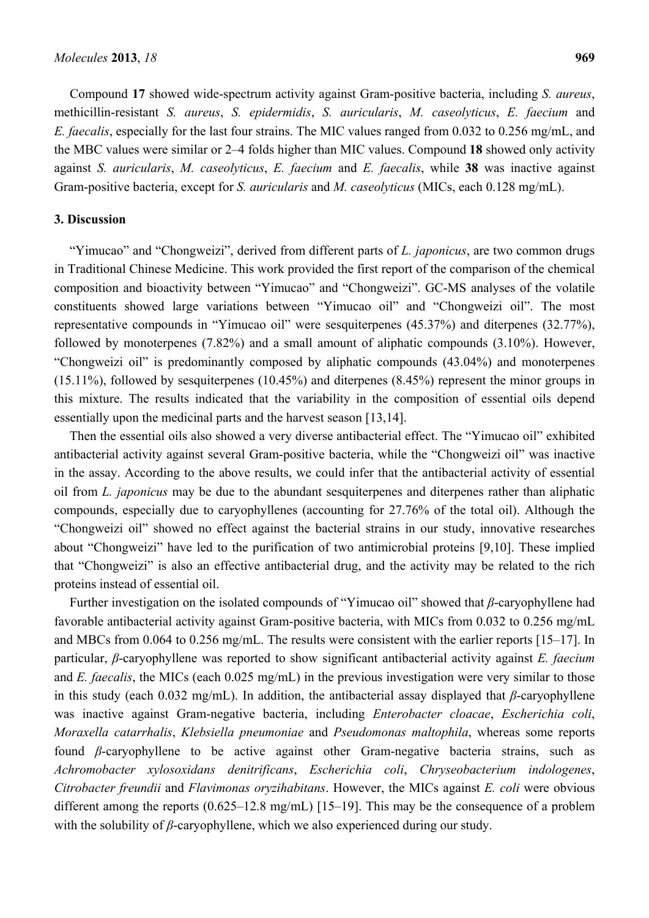Compound **17** showed wide-spectrum activity against Gram-positive bacteria, including *S. aureus*, methicillin-resistant *S. aureus*, *S. epidermidis*, *S. auricularis*, *M. caseolyticus*, *E. faecium* and *E. faecalis*, especially for the last four strains. The MIC values ranged from 0.032 to 0.256 mg/mL, and the MBC values were similar or 2–4 folds higher than MIC values. Compound **18** showed only activity against *S. auricularis*, *M. caseolyticus*, *E. faecium* and *E. faecalis*, while **38** was inactive against Gram-positive bacteria, except for *S. auricularis* and *M. caseolyticus* (MICs, each 0.128 mg/mL).

#### **3. Discussion**

"Yimucao" and "Chongweizi", derived from different parts of *L. japonicus*, are two common drugs in Traditional Chinese Medicine. This work provided the first report of the comparison of the chemical composition and bioactivity between "Yimucao" and "Chongweizi". GC-MS analyses of the volatile constituents showed large variations between "Yimucao oil" and "Chongweizi oil". The most representative compounds in "Yimucao oil" were sesquiterpenes (45.37%) and diterpenes (32.77%), followed by monoterpenes (7.82%) and a small amount of aliphatic compounds (3.10%). However, "Chongweizi oil" is predominantly composed by aliphatic compounds (43.04%) and monoterpenes (15.11%), followed by sesquiterpenes (10.45%) and diterpenes (8.45%) represent the minor groups in this mixture. The results indicated that the variability in the composition of essential oils depend essentially upon the medicinal parts and the harvest season [13,14].

Then the essential oils also showed a very diverse antibacterial effect. The "Yimucao oil" exhibited antibacterial activity against several Gram-positive bacteria, while the "Chongweizi oil" was inactive in the assay. According to the above results, we could infer that the antibacterial activity of essential oil from *L. japonicus* may be due to the abundant sesquiterpenes and diterpenes rather than aliphatic compounds, especially due to caryophyllenes (accounting for 27.76% of the total oil). Although the "Chongweizi oil" showed no effect against the bacterial strains in our study, innovative researches about "Chongweizi" have led to the purification of two antimicrobial proteins [9,10]. These implied that "Chongweizi" is also an effective antibacterial drug, and the activity may be related to the rich proteins instead of essential oil.

Further investigation on the isolated compounds of "Yimucao oil" showed that *β*-caryophyllene had favorable antibacterial activity against Gram-positive bacteria, with MICs from 0.032 to 0.256 mg/mL and MBCs from 0.064 to 0.256 mg/mL. The results were consistent with the earlier reports [15–17]. In particular, *β*-caryophyllene was reported to show significant antibacterial activity against *E. faecium*  and *E. faecalis*, the MICs (each 0.025 mg/mL) in the previous investigation were very similar to those in this study (each 0.032 mg/mL). In addition, the antibacterial assay displayed that *β*-caryophyllene was inactive against Gram-negative bacteria, including *Enterobacter cloacae*, *Escherichia coli*, *Moraxella catarrhalis*, *Klebsiella pneumoniae* and *Pseudomonas maltophila*, whereas some reports found *β*-caryophyllene to be active against other Gram-negative bacteria strains, such as *Achromobacter xylosoxidans denitrificans*, *Escherichia coli*, *Chryseobacterium indologenes*, *Citrobacter freundii* and *Flavimonas oryzihabitans*. However, the MICs against *E. coli* were obvious different among the reports (0.625–12.8 mg/mL) [15–19]. This may be the consequence of a problem with the solubility of *β*-caryophyllene, which we also experienced during our study.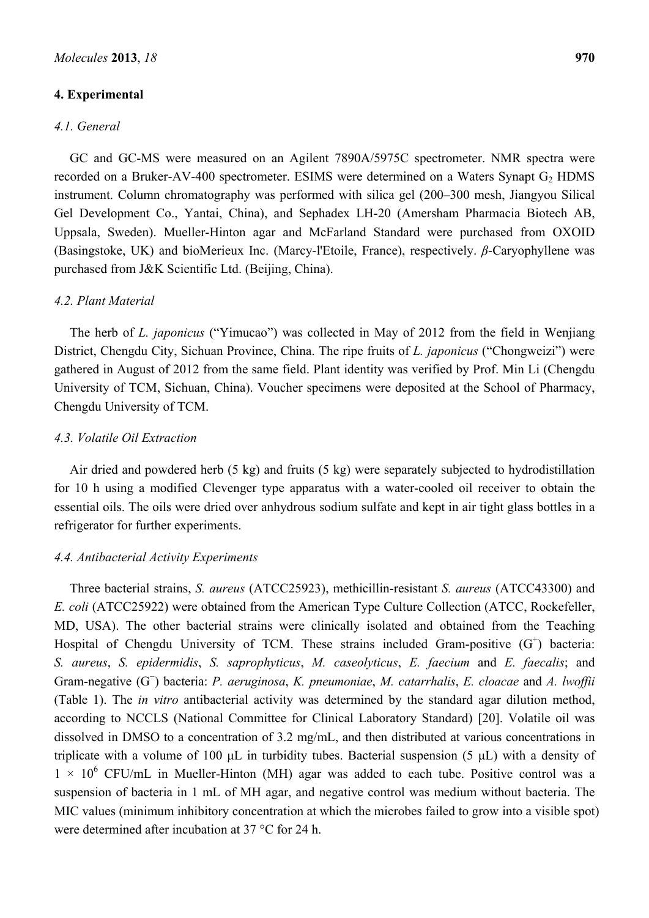## **4. Experimental**

# *4.1. General*

GC and GC-MS were measured on an Agilent 7890A/5975C spectrometer. NMR spectra were recorded on a Bruker-AV-400 spectrometer. ESIMS were determined on a Waters Synapt  $G<sub>2</sub>$  HDMS instrument. Column chromatography was performed with silica gel (200–300 mesh, Jiangyou Silical Gel Development Co., Yantai, China), and Sephadex LH-20 (Amersham Pharmacia Biotech AB, Uppsala, Sweden). Mueller-Hinton agar and McFarland Standard were purchased from OXOID (Basingstoke, UK) and bioMerieux Inc. (Marcy-l'Etoile, France), respectively. *β*-Caryophyllene was purchased from J&K Scientific Ltd. (Beijing, China).

#### *4.2. Plant Material*

The herb of *L. japonicus* ("Yimucao") was collected in May of 2012 from the field in Wenjiang District, Chengdu City, Sichuan Province, China. The ripe fruits of *L. japonicus* ("Chongweizi") were gathered in August of 2012 from the same field. Plant identity was verified by Prof. Min Li (Chengdu University of TCM, Sichuan, China). Voucher specimens were deposited at the School of Pharmacy, Chengdu University of TCM.

### *4.3. Volatile Oil Extraction*

Air dried and powdered herb (5 kg) and fruits (5 kg) were separately subjected to hydrodistillation for 10 h using a modified Clevenger type apparatus with a water-cooled oil receiver to obtain the essential oils. The oils were dried over anhydrous sodium sulfate and kept in air tight glass bottles in a refrigerator for further experiments.

#### *4.4. Antibacterial Activity Experiments*

Three bacterial strains, *S. aureus* (ATCC25923), methicillin-resistant *S. aureus* (ATCC43300) and *E. coli* (ATCC25922) were obtained from the American Type Culture Collection (ATCC, Rockefeller, MD, USA). The other bacterial strains were clinically isolated and obtained from the Teaching Hospital of Chengdu University of TCM. These strains included Gram-positive  $(G<sup>+</sup>)$  bacteria: *S. aureus*, *S. epidermidis*, *S. saprophyticus*, *M. caseolyticus*, *E. faecium* and *E. faecalis*; and Gram-negative (G<sup>−</sup> ) bacteria: *P. aeruginosa*, *K. pneumoniae*, *M. catarrhalis*, *E. cloacae* and *A. lwoffii* (Table 1). The *in vitro* antibacterial activity was determined by the standard agar dilution method, according to NCCLS (National Committee for Clinical Laboratory Standard) [20]. Volatile oil was dissolved in DMSO to a concentration of 3.2 mg/mL, and then distributed at various concentrations in triplicate with a volume of 100 μL in turbidity tubes. Bacterial suspension (5 μL) with a density of  $1 \times 10^6$  CFU/mL in Mueller-Hinton (MH) agar was added to each tube. Positive control was a suspension of bacteria in 1 mL of MH agar, and negative control was medium without bacteria. The MIC values (minimum inhibitory concentration at which the microbes failed to grow into a visible spot) were determined after incubation at 37 °C for 24 h.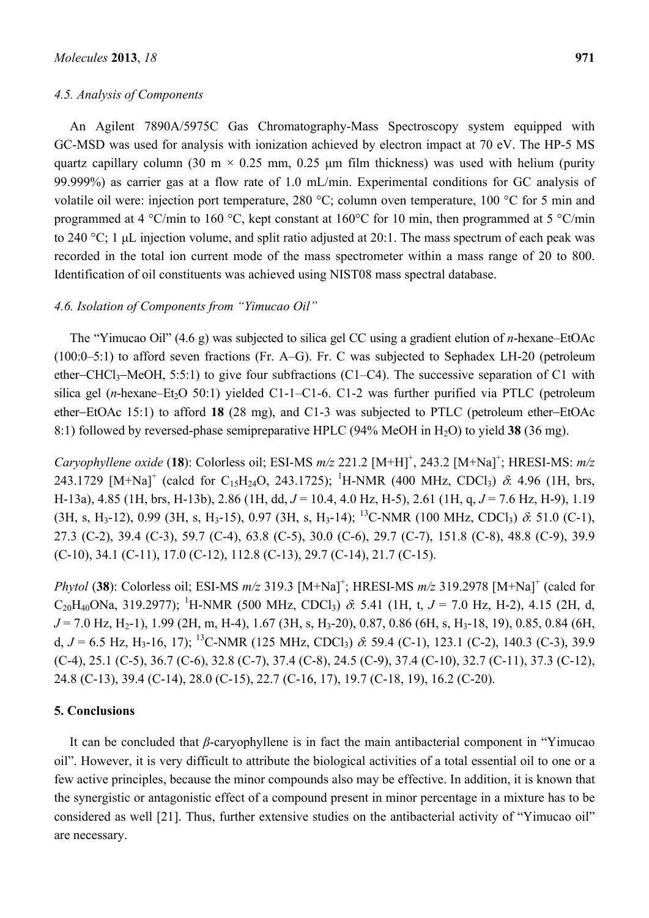#### *4.5. Analysis of Components*

An Agilent 7890A/5975C Gas Chromatography-Mass Spectroscopy system equipped with GC-MSD was used for analysis with ionization achieved by electron impact at 70 eV. The HP-5 MS quartz capillary column (30 m  $\times$  0.25 mm, 0.25 µm film thickness) was used with helium (purity 99.999%) as carrier gas at a flow rate of 1.0 mL/min. Experimental conditions for GC analysis of volatile oil were: injection port temperature, 280 °C; column oven temperature, 100 °C for 5 min and programmed at 4 °C/min to 160 °C, kept constant at 160°C for 10 min, then programmed at 5 °C/min to 240 °C; 1 μL injection volume, and split ratio adjusted at 20:1. The mass spectrum of each peak was recorded in the total ion current mode of the mass spectrometer within a mass range of 20 to 800. Identification of oil constituents was achieved using NIST08 mass spectral database.

## *4.6. Isolation of Components from "Yimucao Oil"*

The "Yimucao Oil" (4.6 g) was subjected to silica gel CC using a gradient elution of *n*-hexane–EtOAc (100:0–5:1) to afford seven fractions (Fr. A–G). Fr. C was subjected to Sephadex LH-20 (petroleum ether–CHCl<sub>3</sub>–MeOH, 5:5:1) to give four subfractions (C1–C4). The successive separation of C1 with silica gel (*n*-hexane–Et<sub>2</sub>O 50:1) yielded C1-1–C1-6. C1-2 was further purified via PTLC (petroleum ether-EtOAc  $15:1$ ) to afford 18 (28 mg), and C1-3 was subjected to PTLC (petroleum ether-EtOAc 8:1) followed by reversed-phase semipreparative HPLC (94% MeOH in H2O) to yield **38** (36 mg).

*Caryophyllene oxide* (18): Colorless oil; ESI-MS  $m/z$  221.2 [M+H]<sup>+</sup>, 243.2 [M+Na]<sup>+</sup>; HRESI-MS:  $m/z$ 243.1729  $[M+Na]^+$  (calcd for C<sub>15</sub>H<sub>24</sub>O, 243.1725); <sup>1</sup>H-NMR (400 MHz, CDCl<sub>3</sub>)  $\delta$ : 4.96 (1H, brs, H-13a), 4.85 (1H, brs, H-13b), 2.86 (1H, dd, *J* = 10.4, 4.0 Hz, H-5), 2.61 (1H, q, *J* = 7.6 Hz, H-9), 1.19  $(3H, s, H<sub>3</sub>-12), 0.99 (3H, s, H<sub>3</sub>-15), 0.97 (3H, s, H<sub>3</sub>-14);$  <sup>13</sup>C-NMR (100 MHz, CDCl<sub>3</sub>)  $\delta$ : 51.0 (C-1), 27.3 (C-2), 39.4 (C-3), 59.7 (C-4), 63.8 (C-5), 30.0 (C-6), 29.7 (C-7), 151.8 (C-8), 48.8 (C-9), 39.9  $(C-10)$ , 34.1  $(C-11)$ , 17.0  $(C-12)$ , 112.8  $(C-13)$ , 29.7  $(C-14)$ , 21.7  $(C-15)$ .

*Phytol* (38): Colorless oil; ESI-MS  $m/z$  319.3 [M+Na]<sup>+</sup>; HRESI-MS  $m/z$  319.2978 [M+Na]<sup>+</sup> (calcd for  $C_{20}H_{40}$ ONa, 319.2977); <sup>1</sup>H-NMR (500 MHz, CDCl<sub>3</sub>)  $\delta$ : 5.41 (1H, t, *J* = 7.0 Hz, H-2), 4.15 (2H, d,  $J = 7.0$  Hz, H<sub>2</sub>-1), 1.99 (2H, m, H-4), 1.67 (3H, s, H<sub>3</sub>-20), 0.87, 0.86 (6H, s, H<sub>3</sub>-18, 19), 0.85, 0.84 (6H, d,  $J = 6.5$  Hz, H<sub>3</sub>-16, 17); <sup>13</sup>C-NMR (125 MHz, CDCl<sub>3</sub>)  $\delta$ : 59.4 (C-1), 123.1 (C-2), 140.3 (C-3), 39.9  $(C-4)$ , 25.1  $(C-5)$ , 36.7  $(C-6)$ , 32.8  $(C-7)$ , 37.4  $(C-8)$ , 24.5  $(C-9)$ , 37.4  $(C-10)$ , 32.7  $(C-11)$ , 37.3  $(C-12)$ , 24.8 (C-13), 39.4 (C-14), 28.0 (C-15), 22.7 (C-16, 17), 19.7 (C-18, 19), 16.2 (C-20).

# **5. Conclusions**

It can be concluded that *β*-caryophyllene is in fact the main antibacterial component in "Yimucao oil". However, it is very difficult to attribute the biological activities of a total essential oil to one or a few active principles, because the minor compounds also may be effective. In addition, it is known that the synergistic or antagonistic effect of a compound present in minor percentage in a mixture has to be considered as well [21]. Thus, further extensive studies on the antibacterial activity of "Yimucao oil" are necessary.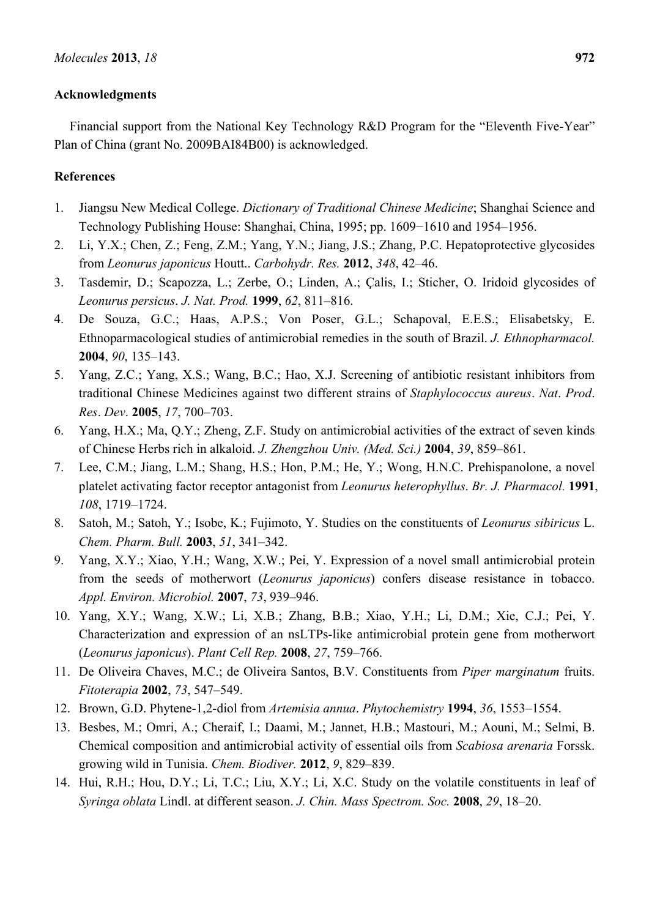# **Acknowledgments**

Financial support from the National Key Technology R&D Program for the "Eleventh Five-Year" Plan of China (grant No. 2009BAI84B00) is acknowledged.

# **References**

- 1. Jiangsu New Medical College. *Dictionary of Traditional Chinese Medicine*; Shanghai Science and Technology Publishing House: Shanghai, China, 1995; pp. 1609−1610 and 1954–1956.
- 2. Li, Y.X.; Chen, Z.; Feng, Z.M.; Yang, Y.N.; Jiang, J.S.; Zhang, P.C. Hepatoprotective glycosides from *Leonurus japonicus* Houtt.. *Carbohydr. Res.* **2012**, *348*, 42–46.
- 3. Tasdemir, D.; Scapozza, L.; Zerbe, O.; Linden, A.; Çalis, I.; Sticher, O. Iridoid glycosides of *Leonurus persicus*. *J. Nat. Prod.* **1999**, *62*, 811–816.
- 4. De Souza, G.C.; Haas, A.P.S.; Von Poser, G.L.; Schapoval, E.E.S.; Elisabetsky, E. Ethnoparmacological studies of antimicrobial remedies in the south of Brazil. *J. Ethnopharmacol.* **2004**, *90*, 135–143.
- 5. Yang, Z.C.; Yang, X.S.; Wang, B.C.; Hao, X.J. Screening of antibiotic resistant inhibitors from traditional Chinese Medicines against two different strains of *Staphylococcus aureus*. *Nat*. *Prod*. *Res*. *Dev*. **2005**, *17*, 700–703.
- 6. Yang, H.X.; Ma, Q.Y.; Zheng, Z.F. Study on antimicrobial activities of the extract of seven kinds of Chinese Herbs rich in alkaloid. *J. Zhengzhou Univ. (Med. Sci.)* **2004**, *39*, 859–861.
- 7. Lee, C.M.; Jiang, L.M.; Shang, H.S.; Hon, P.M.; He, Y.; Wong, H.N.C. Prehispanolone, a novel platelet activating factor receptor antagonist from *Leonurus heterophyllus*. *Br. J. Pharmacol.* **1991**, *108*, 1719–1724.
- 8. Satoh, M.; Satoh, Y.; Isobe, K.; Fujimoto, Y. Studies on the constituents of *Leonurus sibiricus* L. *Chem. Pharm. Bull.* **2003**, *51*, 341–342.
- 9. Yang, X.Y.; Xiao, Y.H.; Wang, X.W.; Pei, Y. Expression of a novel small antimicrobial protein from the seeds of motherwort (*Leonurus japonicus*) confers disease resistance in tobacco. *Appl. Environ. Microbiol.* **2007**, *73*, 939–946.
- 10. Yang, X.Y.; Wang, X.W.; Li, X.B.; Zhang, B.B.; Xiao, Y.H.; Li, D.M.; Xie, C.J.; Pei, Y. Characterization and expression of an nsLTPs-like antimicrobial protein gene from motherwort (*Leonurus japonicus*). *Plant Cell Rep.* **2008**, *27*, 759–766.
- 11. De Oliveira Chaves, M.C.; de Oliveira Santos, B.V. Constituents from *Piper marginatum* fruits. *Fitoterapia* **2002**, *73*, 547–549.
- 12. Brown, G.D. Phytene-1,2-diol from *Artemisia annua*. *Phytochemistry* **1994**, *36*, 1553–1554.
- 13. Besbes, M.; Omri, A.; Cheraif, I.; Daami, M.; Jannet, H.B.; Mastouri, M.; Aouni, M.; Selmi, B. Chemical composition and antimicrobial activity of essential oils from *Scabiosa arenaria* Forssk. growing wild in Tunisia. *Chem. Biodiver.* **2012**, *9*, 829–839.
- 14. Hui, R.H.; Hou, D.Y.; Li, T.C.; Liu, X.Y.; Li, X.C. Study on the volatile constituents in leaf of *Syringa oblata* Lindl. at different season. *J. Chin. Mass Spectrom. Soc.* **2008**, *29*, 18–20.